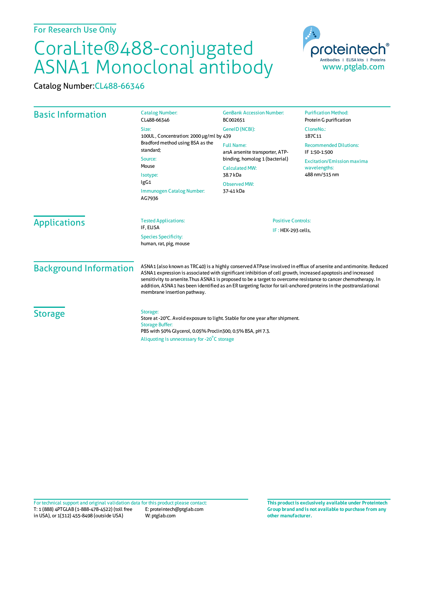## CoraLite®488-conjugated ASNA1 Monoclonal antibody

Catalog Number:CL488-66346



| <b>Basic Information</b> | <b>Catalog Number:</b><br>CL488-66346                                                                                                                                                                                           | <b>GenBank Accession Number:</b><br>BC002651                                                                                                                    | <b>Purification Method:</b><br>Protein G purification              |                               |                                                                                                                                                                                                                                                                                                                                                                                                                                                                                                         |                                                 |  |
|--------------------------|---------------------------------------------------------------------------------------------------------------------------------------------------------------------------------------------------------------------------------|-----------------------------------------------------------------------------------------------------------------------------------------------------------------|--------------------------------------------------------------------|-------------------------------|---------------------------------------------------------------------------------------------------------------------------------------------------------------------------------------------------------------------------------------------------------------------------------------------------------------------------------------------------------------------------------------------------------------------------------------------------------------------------------------------------------|-------------------------------------------------|--|
|                          | Size:<br>100UL, Concentration: 2000 µg/ml by 439<br>Bradford method using BSA as the<br>standard:<br>Source:<br>Mouse<br>Isotype:<br>lgG1<br>Immunogen Catalog Number:<br>AG7936                                                | GeneID (NCBI):                                                                                                                                                  | CloneNo.:<br>1B7C11                                                |                               |                                                                                                                                                                                                                                                                                                                                                                                                                                                                                                         |                                                 |  |
|                          |                                                                                                                                                                                                                                 | <b>Full Name:</b><br>arsA arsenite transporter, ATP-<br>binding, homolog 1 (bacterial)<br><b>Calculated MW:</b><br>38.7 kDa<br><b>Observed MW:</b><br>37-41 kDa | <b>Recommended Dilutions:</b><br>IF 1:50-1:500                     |                               |                                                                                                                                                                                                                                                                                                                                                                                                                                                                                                         |                                                 |  |
|                          |                                                                                                                                                                                                                                 |                                                                                                                                                                 | <b>Excitation/Emission maxima</b><br>wavelengths:<br>488 nm/515 nm |                               |                                                                                                                                                                                                                                                                                                                                                                                                                                                                                                         |                                                 |  |
|                          |                                                                                                                                                                                                                                 |                                                                                                                                                                 |                                                                    | <b>Applications</b>           | <b>Tested Applications:</b><br>IF, ELISA<br><b>Species Specificity:</b><br>human, rat, pig, mouse                                                                                                                                                                                                                                                                                                                                                                                                       | <b>Positive Controls:</b><br>IF: HEK-293 cells, |  |
|                          |                                                                                                                                                                                                                                 |                                                                                                                                                                 |                                                                    | <b>Background Information</b> | ASNA1 (also known as TRC40) is a highly conserved ATPase involved in efflux of arsenite and antimonite. Reduced<br>ASNA1 expression is associated with significant inhibition of cell growth, increased apoptosis and increased<br>sensitivity to arsenite. Thus ASNA1 is proposed to be a target to overcome resistance to cancer chemotherapy. In<br>addition, ASNA1 has been identified as an ER targeting factor for tail-anchored proteins in the posttranslational<br>membrane insertion pathway. |                                                 |  |
| <b>Storage</b>           | Storage:<br>Store at -20°C. Avoid exposure to light. Stable for one year after shipment.<br><b>Storage Buffer:</b><br>PBS with 50% Glycerol, 0.05% Proclin300, 0.5% BSA, pH 7.3.<br>Aliquoting is unnecessary for -20°C storage |                                                                                                                                                                 |                                                                    |                               |                                                                                                                                                                                                                                                                                                                                                                                                                                                                                                         |                                                 |  |

T: 1 (888) 4PTGLAB (1-888-478-4522) (toll free in USA), or 1(312) 455-8498 (outside USA) E: proteintech@ptglab.com W: ptglab.com Fortechnical support and original validation data forthis product please contact: **This productis exclusively available under Proteintech**

**Group brand and is not available to purchase from any other manufacturer.**